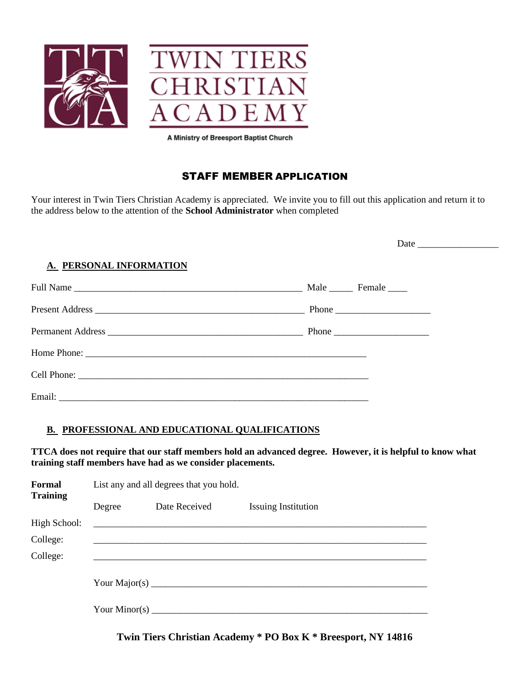

# STAFF MEMBER APPLICATION

Your interest in Twin Tiers Christian Academy is appreciated. We invite you to fill out this application and return it to the address below to the attention of the **School Administrator** when completed

| A. PERSONAL INFORMATION |  |
|-------------------------|--|
|                         |  |
|                         |  |
|                         |  |
|                         |  |
|                         |  |
|                         |  |

## **B. PROFESSIONAL AND EDUCATIONAL QUALIFICATIONS**

**TTCA does not require that our staff members hold an advanced degree. However, it is helpful to know what training staff members have had as we consider placements.**

| Formal<br><b>Training</b> | List any and all degrees that you hold. |                                               |                            |  |
|---------------------------|-----------------------------------------|-----------------------------------------------|----------------------------|--|
|                           | Degree                                  | Date Received                                 | <b>Issuing Institution</b> |  |
| High School:              |                                         | <u> 1980 - Andrea Andrew Maria (h. 1980).</u> |                            |  |
| College:                  |                                         |                                               |                            |  |
| College:                  |                                         |                                               |                            |  |
|                           |                                         |                                               |                            |  |

**Twin Tiers Christian Academy \* PO Box K \* Breesport, NY 14816**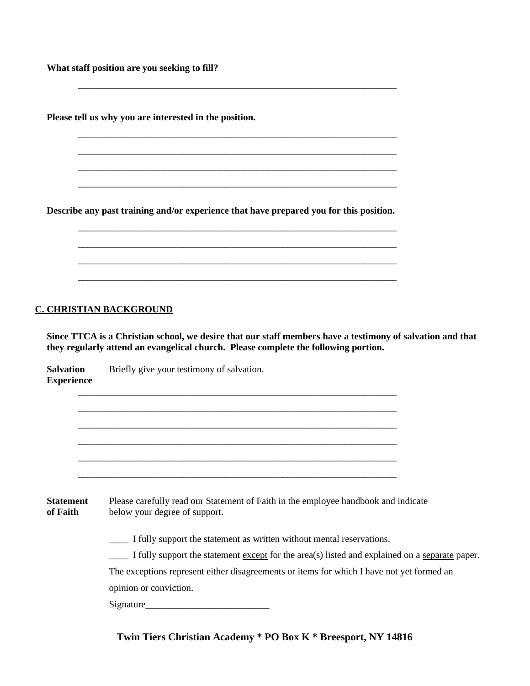**What staff position are you seeking to fill?**

**Please tell us why you are interested in the position.**

**Describe any past training and/or experience that have prepared you for this position.**

\_\_\_\_\_\_\_\_\_\_\_\_\_\_\_\_\_\_\_\_\_\_\_\_\_\_\_\_\_\_\_\_\_\_\_\_\_\_\_\_\_\_\_\_\_\_\_\_\_\_\_\_\_\_\_\_\_\_\_\_\_\_\_\_\_\_\_

\_\_\_\_\_\_\_\_\_\_\_\_\_\_\_\_\_\_\_\_\_\_\_\_\_\_\_\_\_\_\_\_\_\_\_\_\_\_\_\_\_\_\_\_\_\_\_\_\_\_\_\_\_\_\_\_\_\_\_\_\_\_\_\_\_\_\_ \_\_\_\_\_\_\_\_\_\_\_\_\_\_\_\_\_\_\_\_\_\_\_\_\_\_\_\_\_\_\_\_\_\_\_\_\_\_\_\_\_\_\_\_\_\_\_\_\_\_\_\_\_\_\_\_\_\_\_\_\_\_\_\_\_\_\_ \_\_\_\_\_\_\_\_\_\_\_\_\_\_\_\_\_\_\_\_\_\_\_\_\_\_\_\_\_\_\_\_\_\_\_\_\_\_\_\_\_\_\_\_\_\_\_\_\_\_\_\_\_\_\_\_\_\_\_\_\_\_\_\_\_\_\_ \_\_\_\_\_\_\_\_\_\_\_\_\_\_\_\_\_\_\_\_\_\_\_\_\_\_\_\_\_\_\_\_\_\_\_\_\_\_\_\_\_\_\_\_\_\_\_\_\_\_\_\_\_\_\_\_\_\_\_\_\_\_\_\_\_\_\_

\_\_\_\_\_\_\_\_\_\_\_\_\_\_\_\_\_\_\_\_\_\_\_\_\_\_\_\_\_\_\_\_\_\_\_\_\_\_\_\_\_\_\_\_\_\_\_\_\_\_\_\_\_\_\_\_\_\_\_\_\_\_\_\_\_\_\_ \_\_\_\_\_\_\_\_\_\_\_\_\_\_\_\_\_\_\_\_\_\_\_\_\_\_\_\_\_\_\_\_\_\_\_\_\_\_\_\_\_\_\_\_\_\_\_\_\_\_\_\_\_\_\_\_\_\_\_\_\_\_\_\_\_\_\_ \_\_\_\_\_\_\_\_\_\_\_\_\_\_\_\_\_\_\_\_\_\_\_\_\_\_\_\_\_\_\_\_\_\_\_\_\_\_\_\_\_\_\_\_\_\_\_\_\_\_\_\_\_\_\_\_\_\_\_\_\_\_\_\_\_\_\_ \_\_\_\_\_\_\_\_\_\_\_\_\_\_\_\_\_\_\_\_\_\_\_\_\_\_\_\_\_\_\_\_\_\_\_\_\_\_\_\_\_\_\_\_\_\_\_\_\_\_\_\_\_\_\_\_\_\_\_\_\_\_\_\_\_\_\_

#### **C. CHRISTIAN BACKGROUND**

**Since TTCA is a Christian school, we desire that our staff members have a testimony of salvation and that they regularly attend an evangelical church. Please complete the following portion.**

**Salvation** Briefly give your testimony of salvation. **Experience**

| <b>Statement</b> | Please carefully read our Statement of Faith in the employee handbook and indicate |
|------------------|------------------------------------------------------------------------------------|
| of Faith         | below your degree of support.                                                      |

\_\_\_\_\_\_\_\_\_\_\_\_\_\_\_\_\_\_\_\_\_\_\_\_\_\_\_\_\_\_\_\_\_\_\_\_\_\_\_\_\_\_\_\_\_\_\_\_\_\_\_\_\_\_\_\_\_\_\_\_\_\_\_\_\_\_\_ \_\_\_\_\_\_\_\_\_\_\_\_\_\_\_\_\_\_\_\_\_\_\_\_\_\_\_\_\_\_\_\_\_\_\_\_\_\_\_\_\_\_\_\_\_\_\_\_\_\_\_\_\_\_\_\_\_\_\_\_\_\_\_\_\_\_\_ \_\_\_\_\_\_\_\_\_\_\_\_\_\_\_\_\_\_\_\_\_\_\_\_\_\_\_\_\_\_\_\_\_\_\_\_\_\_\_\_\_\_\_\_\_\_\_\_\_\_\_\_\_\_\_\_\_\_\_\_\_\_\_\_\_\_\_ \_\_\_\_\_\_\_\_\_\_\_\_\_\_\_\_\_\_\_\_\_\_\_\_\_\_\_\_\_\_\_\_\_\_\_\_\_\_\_\_\_\_\_\_\_\_\_\_\_\_\_\_\_\_\_\_\_\_\_\_\_\_\_\_\_\_\_ \_\_\_\_\_\_\_\_\_\_\_\_\_\_\_\_\_\_\_\_\_\_\_\_\_\_\_\_\_\_\_\_\_\_\_\_\_\_\_\_\_\_\_\_\_\_\_\_\_\_\_\_\_\_\_\_\_\_\_\_\_\_\_\_\_\_\_ \_\_\_\_\_\_\_\_\_\_\_\_\_\_\_\_\_\_\_\_\_\_\_\_\_\_\_\_\_\_\_\_\_\_\_\_\_\_\_\_\_\_\_\_\_\_\_\_\_\_\_\_\_\_\_\_\_\_\_\_\_\_\_\_\_\_\_

\_\_\_\_ I fully support the statement as written without mental reservations.

\_\_\_\_ I fully support the statement except for the area(s) listed and explained on a separate paper.

The exceptions represent either disagreements or items for which I have not yet formed an

opinion or conviction.

Signature\_\_\_\_\_\_\_\_\_\_\_\_\_\_\_\_\_\_\_\_\_\_\_\_\_\_

## **Twin Tiers Christian Academy \* PO Box K \* Breesport, NY 14816**